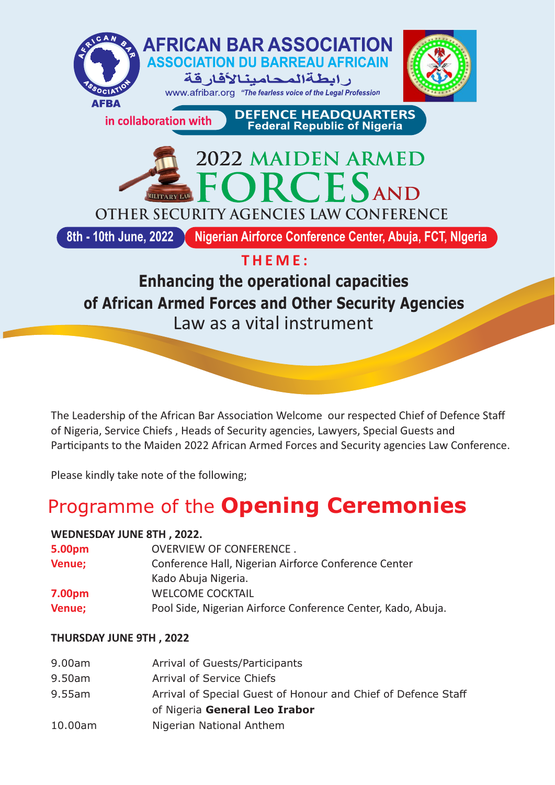

Law as a vital instrument

The Leadership of the African Bar Association Welcome our respected Chief of Defence Staff of Nigeria, Service Chiefs , Heads of Security agencies, Lawyers, Special Guests and Participants to the Maiden 2022 African Armed Forces and Security agencies Law Conference.

Please kindly take note of the following;

# Programme of the **Opening Ceremonies**

## **WEDNESDAY JUNE 8TH , 2022.**

| <b>OVERVIEW OF CONFERENCE.</b>                               |
|--------------------------------------------------------------|
| Conference Hall, Nigerian Airforce Conference Center         |
| Kado Abuja Nigeria.                                          |
| <b>WELCOME COCKTAIL</b>                                      |
| Pool Side, Nigerian Airforce Conference Center, Kado, Abuja. |
|                                                              |

## **THURSDAY JUNE 9TH , 2022**

| 9.00am    | Arrival of Guests/Participants                                |
|-----------|---------------------------------------------------------------|
| 9.50am    | Arrival of Service Chiefs                                     |
| $9.55$ am | Arrival of Special Guest of Honour and Chief of Defence Staff |
|           | of Nigeria General Leo Irabor                                 |
| 10.00am   | Nigerian National Anthem                                      |